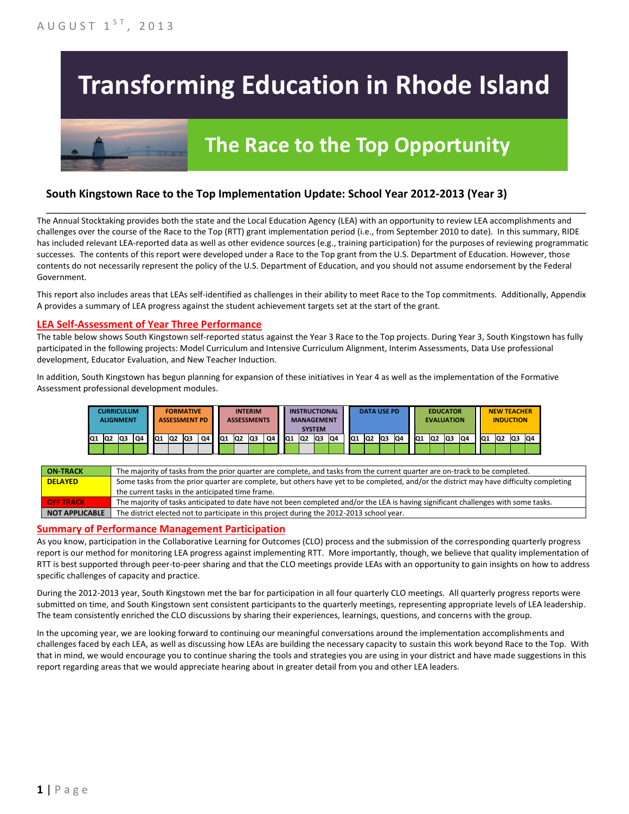# **Transforming Education in Rhode Island**

## **The Race to the Top Opportunity**

#### **South Kingstown Race to the Top Implementation Update: School Year 2012-2013 (Year 3)**

The Annual Stocktaking provides both the state and the Local Education Agency (LEA) with an opportunity to review LEA accomplishments and challenges over the course of the Race to the Top (RTT) grant implementation period (i.e., from September 2010 to date). In this summary, RIDE has included relevant LEA-reported data as well as other evidence sources (e.g., training participation) for the purposes of reviewing programmatic successes. The contents of this report were developed under a Race to the Top grant from the U.S. Department of Education. However, those contents do not necessarily represent the policy of the U.S. Department of Education, and you should not assume endorsement by the Federal Government.

\_\_\_\_\_\_\_\_\_\_\_\_\_\_\_\_\_\_\_\_\_\_\_\_\_\_\_\_\_\_\_\_\_\_\_\_\_\_\_\_\_\_\_\_\_\_\_\_\_\_\_\_\_\_\_\_\_\_\_\_\_\_\_\_\_\_\_\_\_\_\_\_\_\_\_\_\_\_\_\_\_\_\_\_\_\_\_\_\_\_\_\_\_\_\_\_

This report also includes areas that LEAs self-identified as challenges in their ability to meet Race to the Top commitments. Additionally, Appendix A provides a summary of LEA progress against the student achievement targets set at the start of the grant.

#### **LEA Self-Assessment of Year Three Performance**

The table below shows South Kingstown self-reported status against the Year 3 Race to the Top projects. During Year 3, South Kingstown has fully participated in the following projects: Model Curriculum and Intensive Curriculum Alignment, Interim Assessments, Data Use professional development, Educator Evaluation, and New Teacher Induction.

In addition, South Kingstown has begun planning for expansion of these initiatives in Year 4 as well as the implementation of the Formative Assessment professional development modules.



| <b>ON TRACK</b>  | The majority of tasks from the prior quarter are complete, and tasks from the current quarter are on-track to be completed.             |
|------------------|-----------------------------------------------------------------------------------------------------------------------------------------|
| <b>DELAYED</b>   | Some tasks from the prior quarter are complete, but others have yet to be completed, and/or the district may have difficulty completing |
|                  | the current tasks in the anticipated time frame.                                                                                        |
| <b>OFF TRACK</b> | The majority of tasks anticipated to date have not been completed and/or the LEA is having significant challenges with some tasks.      |
| NOT APPLICABLE   | The district elected not to participate in this project during the 2012-2013 school year.                                               |

#### **Summary of Performance Management Participation**

As you know, participation in the Collaborative Learning for Outcomes (CLO) process and the submission of the corresponding quarterly progress report is our method for monitoring LEA progress against implementing RTT. More importantly, though, we believe that quality implementation of RTT is best supported through peer-to-peer sharing and that the CLO meetings provide LEAs with an opportunity to gain insights on how to address specific challenges of capacity and practice.

During the 2012-2013 year, South Kingstown met the bar for participation in all four quarterly CLO meetings. All quarterly progress reports were submitted on time, and South Kingstown sent consistent participants to the quarterly meetings, representing appropriate levels of LEA leadership. The team consistently enriched the CLO discussions by sharing their experiences, learnings, questions, and concerns with the group.

In the upcoming year, we are looking forward to continuing our meaningful conversations around the implementation accomplishments and challenges faced by each LEA, as well as discussing how LEAs are building the necessary capacity to sustain this work beyond Race to the Top. With that in mind, we would encourage you to continue sharing the tools and strategies you are using in your district and have made suggestions in this report regarding areas that we would appreciate hearing about in greater detail from you and other LEA leaders.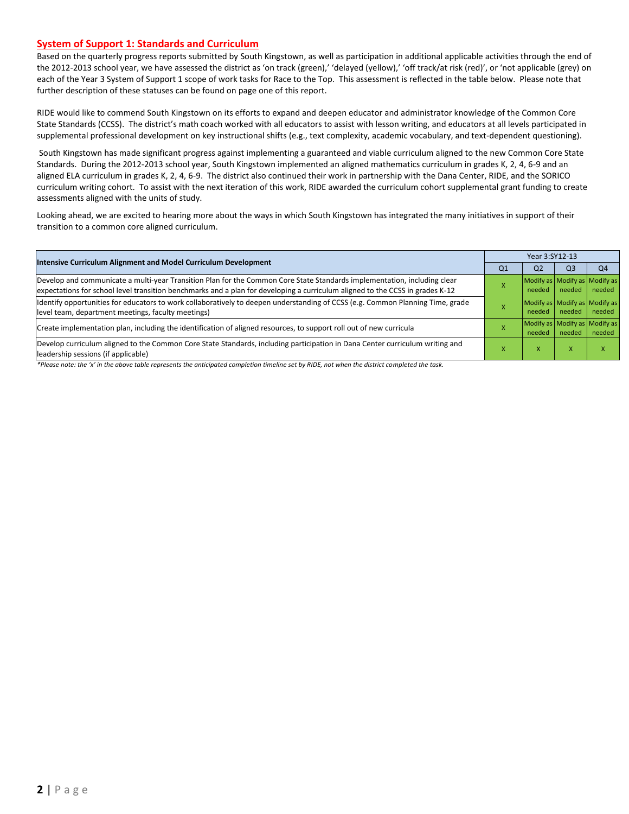#### **System of Support 1: Standards and Curriculum**

Based on the quarterly progress reports submitted by South Kingstown, as well as participation in additional applicable activities through the end of the 2012-2013 school year, we have assessed the district as 'on track (green),' 'delayed (yellow),' 'off track/at risk (red)', or 'not applicable (grey) on each of the Year 3 System of Support 1 scope of work tasks for Race to the Top. This assessment is reflected in the table below. Please note that further description of these statuses can be found on page one of this report.

RIDE would like to commend South Kingstown on its efforts to expand and deepen educator and administrator knowledge of the Common Core State Standards (CCSS). The district's math coach worked with all educators to assist with lesson writing, and educators at all levels participated in supplemental professional development on key instructional shifts (e.g., text complexity, academic vocabulary, and text-dependent questioning).

South Kingstown has made significant progress against implementing a guaranteed and viable curriculum aligned to the new Common Core State Standards. During the 2012-2013 school year, South Kingstown implemented an aligned mathematics curriculum in grades K, 2, 4, 6-9 and an aligned ELA curriculum in grades K, 2, 4, 6-9. The district also continued their work in partnership with the Dana Center, RIDE, and the SORICO curriculum writing cohort. To assist with the next iteration of this work, RIDE awarded the curriculum cohort supplemental grant funding to create assessments aligned with the units of study.

Looking ahead, we are excited to hearing more about the ways in which South Kingstown has integrated the many initiatives in support of their transition to a common core aligned curriculum.

| Intensive Curriculum Alignment and Model Curriculum Development                                                                                                                                                                                           |    | Year 3:SY12-13                          |        |        |  |  |  |
|-----------------------------------------------------------------------------------------------------------------------------------------------------------------------------------------------------------------------------------------------------------|----|-----------------------------------------|--------|--------|--|--|--|
|                                                                                                                                                                                                                                                           | Q1 | Q <sub>2</sub>                          | Q3     | Q4     |  |  |  |
| Develop and communicate a multi-year Transition Plan for the Common Core State Standards implementation, including clear<br>expectations for school level transition benchmarks and a plan for developing a curriculum aligned to the CCSS in grades K-12 |    | Modify as Modify as Modify as<br>needed | needed | needed |  |  |  |
| ldentify opportunities for educators to work collaboratively to deepen understanding of CCSS (e.g. Common Planning Time, grade<br>level team, department meetings, faculty meetings)                                                                      |    | Modify as Modify as Modify as<br>needed | needed | needed |  |  |  |
| Create implementation plan, including the identification of aligned resources, to support roll out of new curricula                                                                                                                                       |    | Modify as Modify as Modify as<br>needed | needed | needed |  |  |  |
| Develop curriculum aligned to the Common Core State Standards, including participation in Dana Center curriculum writing and<br>leadership sessions (if applicable)                                                                                       |    | ^                                       |        |        |  |  |  |

*\*Please note: the 'x' in the above table represents the anticipated completion timeline set by RIDE, not when the district completed the task.*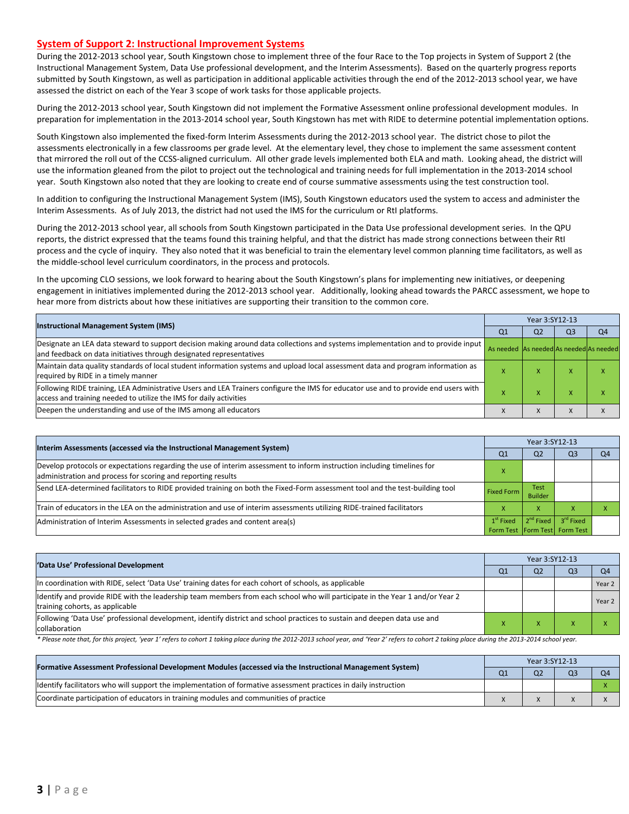#### **System of Support 2: Instructional Improvement Systems**

During the 2012-2013 school year, South Kingstown chose to implement three of the four Race to the Top projects in System of Support 2 (the Instructional Management System, Data Use professional development, and the Interim Assessments). Based on the quarterly progress reports submitted by South Kingstown, as well as participation in additional applicable activities through the end of the 2012-2013 school year, we have assessed the district on each of the Year 3 scope of work tasks for those applicable projects.

During the 2012-2013 school year, South Kingstown did not implement the Formative Assessment online professional development modules. In preparation for implementation in the 2013-2014 school year, South Kingstown has met with RIDE to determine potential implementation options.

South Kingstown also implemented the fixed-form Interim Assessments during the 2012-2013 school year. The district chose to pilot the assessments electronically in a few classrooms per grade level. At the elementary level, they chose to implement the same assessment content that mirrored the roll out of the CCSS-aligned curriculum. All other grade levels implemented both ELA and math. Looking ahead, the district will use the information gleaned from the pilot to project out the technological and training needs for full implementation in the 2013-2014 school year. South Kingstown also noted that they are looking to create end of course summative assessments using the test construction tool.

In addition to configuring the Instructional Management System (IMS), South Kingstown educators used the system to access and administer the Interim Assessments. As of July 2013, the district had not used the IMS for the curriculum or RtI platforms.

During the 2012-2013 school year, all schools from South Kingstown participated in the Data Use professional development series. In the QPU reports, the district expressed that the teams found this training helpful, and that the district has made strong connections between their RtI process and the cycle of inquiry. They also noted that it was beneficial to train the elementary level common planning time facilitators, as well as the middle-school level curriculum coordinators, in the process and protocols.

In the upcoming CLO sessions, we look forward to hearing about the South Kingstown's plans for implementing new initiatives, or deepening engagement in initiatives implemented during the 2012-2013 school year. Additionally, looking ahead towards the PARCC assessment, we hope to hear more from districts about how these initiatives are supporting their transition to the common core.

| <b>Instructional Management System (IMS)</b>                                                                                                                                                              |                                         | Year 3:SY12-13 |    |                |  |  |  |
|-----------------------------------------------------------------------------------------------------------------------------------------------------------------------------------------------------------|-----------------------------------------|----------------|----|----------------|--|--|--|
|                                                                                                                                                                                                           | Q <sub>1</sub>                          | Q <sub>2</sub> | Q3 | Q <sub>4</sub> |  |  |  |
| Designate an LEA data steward to support decision making around data collections and systems implementation and to provide input<br>and feedback on data initiatives through designated representatives   | As needed As needed As needed As needed |                |    |                |  |  |  |
| Maintain data quality standards of local student information systems and upload local assessment data and program information as<br>required by RIDE in a timely manner                                   |                                         | $\lambda$      |    |                |  |  |  |
| Following RIDE training, LEA Administrative Users and LEA Trainers configure the IMS for educator use and to provide end users with<br>access and training needed to utilize the IMS for daily activities |                                         | ⋏              |    |                |  |  |  |
| Deepen the understanding and use of the IMS among all educators                                                                                                                                           |                                         | л              |    |                |  |  |  |

| Interim Assessments (accessed via the Instructional Management System)                                                                                                                  |                           | Year 3:SY12-13                |                                                            |                |  |  |
|-----------------------------------------------------------------------------------------------------------------------------------------------------------------------------------------|---------------------------|-------------------------------|------------------------------------------------------------|----------------|--|--|
|                                                                                                                                                                                         | Q <sub>1</sub>            | Q <sub>2</sub>                | Q <sub>3</sub>                                             | O <sub>4</sub> |  |  |
| Develop protocols or expectations regarding the use of interim assessment to inform instruction including timelines for<br>administration and process for scoring and reporting results | $\boldsymbol{\mathsf{A}}$ |                               |                                                            |                |  |  |
| Send LEA-determined facilitators to RIDE provided training on both the Fixed-Form assessment tool and the test-building tool                                                            | <b>Fixed Form</b>         | <b>Test</b><br><b>Builder</b> |                                                            |                |  |  |
| Train of educators in the LEA on the administration and use of interim assessments utilizing RIDE-trained facilitators                                                                  |                           |                               |                                                            |                |  |  |
| Administration of Interim Assessments in selected grades and content area(s)                                                                                                            | $1st$ Fixed               | 2 <sup>nd</sup> Fixed         | 3 <sup>rd</sup> Fixed<br>Form Test   Form Test   Form Test |                |  |  |

| 'Data Use' Professional Development                                                                                                                             |  | Year 3:SY12-13 |                |                |  |  |  |
|-----------------------------------------------------------------------------------------------------------------------------------------------------------------|--|----------------|----------------|----------------|--|--|--|
|                                                                                                                                                                 |  | Q <sub>2</sub> | Q <sub>3</sub> | O <sub>4</sub> |  |  |  |
| In coordination with RIDE, select 'Data Use' training dates for each cohort of schools, as applicable                                                           |  |                |                | Year 2         |  |  |  |
| ldentify and provide RIDE with the leadership team members from each school who will participate in the Year 1 and/or Year 2<br>training cohorts, as applicable |  |                |                | Year 2         |  |  |  |
| Following 'Data Use' professional development, identify district and school practices to sustain and deepen data use and<br>collaboration                       |  |                |                |                |  |  |  |

\* Please note that, for this project, 'year 1' refers to cohort 1 taking place during the 2012-2013 school year, and 'Year 2' refers to cohort 2 taking place during the 2013-2014 school year.

| [Formative Assessment Professional Development Modules (accessed via the Instructional Management System)        |  | Year 3:SY12-13 |  |    |  |  |  |
|------------------------------------------------------------------------------------------------------------------|--|----------------|--|----|--|--|--|
|                                                                                                                  |  | Q <sub>2</sub> |  | 04 |  |  |  |
| ldentify facilitators who will support the implementation of formative assessment practices in daily instruction |  |                |  |    |  |  |  |
| Coordinate participation of educators in training modules and communities of practice                            |  |                |  |    |  |  |  |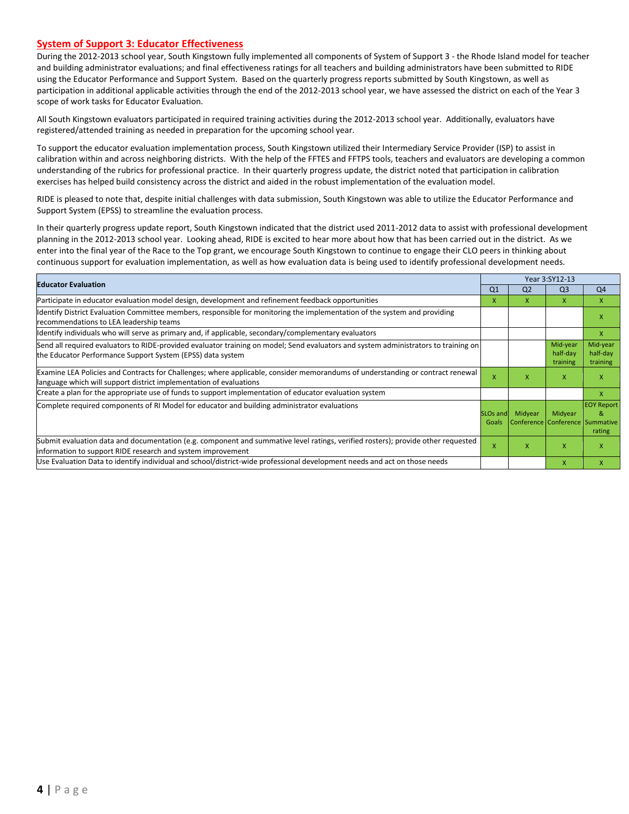#### **System of Support 3: Educator Effectiveness**

During the 2012-2013 school year, South Kingstown fully implemented all components of System of Support 3 - the Rhode Island model for teacher and building administrator evaluations; and final effectiveness ratings for all teachers and building administrators have been submitted to RIDE using the Educator Performance and Support System. Based on the quarterly progress reports submitted by South Kingstown, as well as participation in additional applicable activities through the end of the 2012-2013 school year, we have assessed the district on each of the Year 3 scope of work tasks for Educator Evaluation.

All South Kingstown evaluators participated in required training activities during the 2012-2013 school year. Additionally, evaluators have registered/attended training as needed in preparation for the upcoming school year.

To support the educator evaluation implementation process, South Kingstown utilized their Intermediary Service Provider (ISP) to assist in calibration within and across neighboring districts. With the help of the FFTES and FFTPS tools, teachers and evaluators are developing a common understanding of the rubrics for professional practice. In their quarterly progress update, the district noted that participation in calibration exercises has helped build consistency across the district and aided in the robust implementation of the evaluation model.

RIDE is pleased to note that, despite initial challenges with data submission, South Kingstown was able to utilize the Educator Performance and Support System (EPSS) to streamline the evaluation process.

In their quarterly progress update report, South Kingstown indicated that the district used 2011-2012 data to assist with professional development planning in the 2012-2013 school year. Looking ahead, RIDE is excited to hear more about how that has been carried out in the district. As we enter into the final year of the Race to the Top grant, we encourage South Kingstown to continue to engage their CLO peers in thinking about continuous support for evaluation implementation, as well as how evaluation data is being used to identify professional development needs.

| <b>Educator Evaluation</b>                                                                                                                                                                           |                               | Year 3:SY12-13                             |                                  |                                  |  |
|------------------------------------------------------------------------------------------------------------------------------------------------------------------------------------------------------|-------------------------------|--------------------------------------------|----------------------------------|----------------------------------|--|
|                                                                                                                                                                                                      | Q <sub>1</sub>                | Q <sub>2</sub>                             | Q <sub>3</sub>                   | Q4                               |  |
| Participate in educator evaluation model design, development and refinement feedback opportunities                                                                                                   | x                             | X.                                         | $\mathsf{X}$                     | $\mathsf{x}$                     |  |
| Identify District Evaluation Committee members, responsible for monitoring the implementation of the system and providing<br>recommendations to LEA leadership teams                                 |                               |                                            |                                  | x                                |  |
| ldentify individuals who will serve as primary and, if applicable, secondary/complementary evaluators                                                                                                |                               |                                            |                                  | $\mathsf{x}$                     |  |
| Send all required evaluators to RIDE-provided evaluator training on model; Send evaluators and system administrators to training on<br>the Educator Performance Support System (EPSS) data system    |                               |                                            | Mid-year<br>half-day<br>training | Mid-year<br>half-day<br>training |  |
| Examine LEA Policies and Contracts for Challenges; where applicable, consider memorandums of understanding or contract renewal<br>language which will support district implementation of evaluations |                               | x                                          | $\mathsf{x}$                     | X                                |  |
| Create a plan for the appropriate use of funds to support implementation of educator evaluation system                                                                                               |                               |                                            |                                  | X                                |  |
| Complete required components of RI Model for educator and building administrator evaluations                                                                                                         | SLO <sub>s</sub> and<br>Goals | Midyear<br>Conference Conference Summative | Midyear                          | <b>EOY Report</b><br>8<br>rating |  |
| Submit evaluation data and documentation (e.g. component and summative level ratings, verified rosters); provide other requested<br>information to support RIDE research and system improvement      | $\mathsf{x}$                  | X                                          | $\mathsf{x}$                     | $\mathsf{x}$                     |  |
| Use Evaluation Data to identify individual and school/district-wide professional development needs and act on those needs                                                                            |                               |                                            | X                                | $\mathsf{x}$                     |  |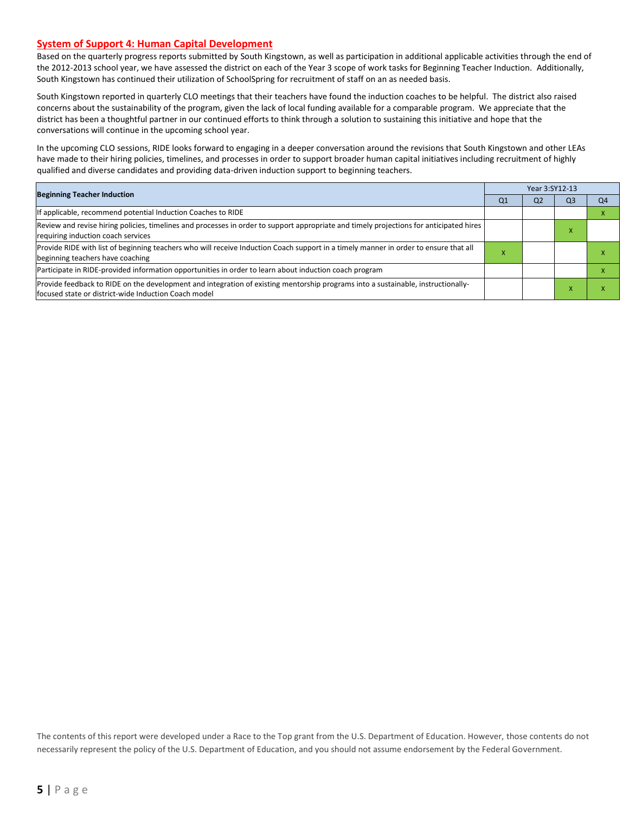#### **System of Support 4: Human Capital Development**

Based on the quarterly progress reports submitted by South Kingstown, as well as participation in additional applicable activities through the end of the 2012-2013 school year, we have assessed the district on each of the Year 3 scope of work tasks for Beginning Teacher Induction. Additionally, South Kingstown has continued their utilization of SchoolSpring for recruitment of staff on an as needed basis.

South Kingstown reported in quarterly CLO meetings that their teachers have found the induction coaches to be helpful. The district also raised concerns about the sustainability of the program, given the lack of local funding available for a comparable program. We appreciate that the district has been a thoughtful partner in our continued efforts to think through a solution to sustaining this initiative and hope that the conversations will continue in the upcoming school year.

In the upcoming CLO sessions, RIDE looks forward to engaging in a deeper conversation around the revisions that South Kingstown and other LEAs have made to their hiring policies, timelines, and processes in order to support broader human capital initiatives including recruitment of highly qualified and diverse candidates and providing data-driven induction support to beginning teachers.

|                                                                                                                                                                                          |    | Year 3:SY12-13 |                |    |  |  |
|------------------------------------------------------------------------------------------------------------------------------------------------------------------------------------------|----|----------------|----------------|----|--|--|
| <b>Beginning Teacher Induction</b>                                                                                                                                                       | Q1 | Q <sub>2</sub> | Q <sub>3</sub> | Q4 |  |  |
| If applicable, recommend potential Induction Coaches to RIDE                                                                                                                             |    |                |                |    |  |  |
| Review and revise hiring policies, timelines and processes in order to support appropriate and timely projections for anticipated hires<br>requiring induction coach services            |    |                |                |    |  |  |
| Provide RIDE with list of beginning teachers who will receive Induction Coach support in a timely manner in order to ensure that all<br>beginning teachers have coaching                 |    |                |                |    |  |  |
| Participate in RIDE-provided information opportunities in order to learn about induction coach program                                                                                   |    |                |                |    |  |  |
| Provide feedback to RIDE on the development and integration of existing mentorship programs into a sustainable, instructionally-<br>focused state or district-wide Induction Coach model |    |                |                |    |  |  |

The contents of this report were developed under a Race to the Top grant from the U.S. Department of Education. However, those contents do not necessarily represent the policy of the U.S. Department of Education, and you should not assume endorsement by the Federal Government.